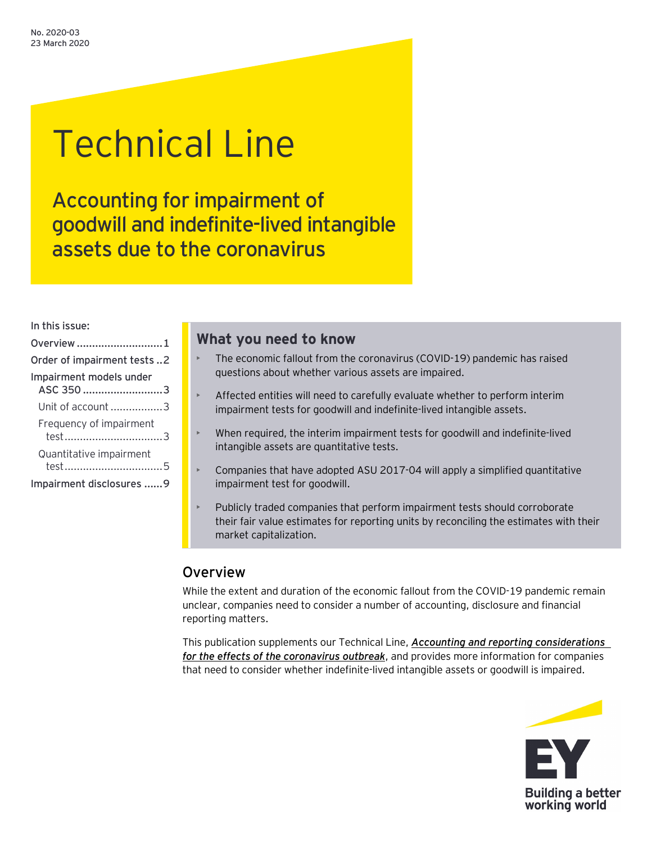# Technical Line

Accounting for impairment of goodwill and indefinite-lived intangible assets due to the coronavirus

In this issue:

| Overview 1                 |  |
|----------------------------|--|
| Order of impairment tests2 |  |
| Impairment models under    |  |
| ASC 350 3                  |  |
| Unit of account 3          |  |
| Frequency of impairment    |  |
| Quantitative impairment    |  |
| Impairment disclosures 9   |  |

# **What you need to know**

- The economic fallout from the coronavirus (COVID-19) pandemic has raised questions about whether various assets are impaired.
- Affected entities will need to carefully evaluate whether to perform interim impairment tests for goodwill and indefinite-lived intangible assets.
- When required, the interim impairment tests for goodwill and indefinite-lived intangible assets are quantitative tests.
- Companies that have adopted ASU 2017-04 will apply a simplified quantitative impairment test for goodwill.
- Publicly traded companies that perform impairment tests should corroborate their fair value estimates for reporting units by reconciling the estimates with their market capitalization.

# <span id="page-0-0"></span>Overview

While the extent and duration of the economic fallout from the COVID-19 pandemic remain unclear, companies need to consider a number of accounting, disclosure and financial reporting matters.

This publication supplements our Technical Line, *[Accounting and reporting considerations](https://www.ey.com/en_us/assurance/accountinglink/technical-line---accounting-and-reporting-considerations-for-the)  [for the effects of the coronavirus outbreak](https://www.ey.com/en_us/assurance/accountinglink/technical-line---accounting-and-reporting-considerations-for-the)*, and provides more information for companies that need to consider whether indefinite-lived intangible assets or goodwill is impaired.

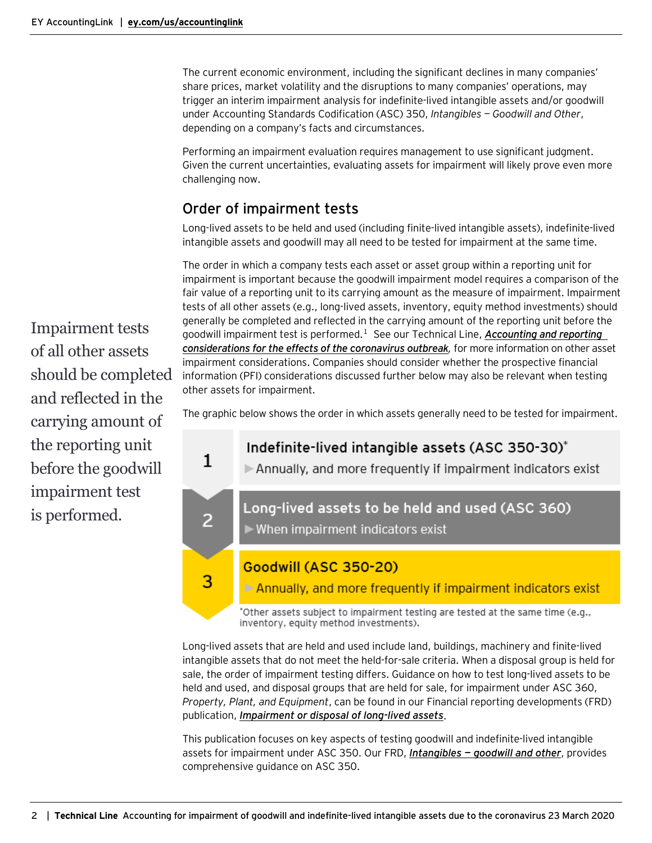The current economic environment, including the significant declines in many companies' share prices, market volatility and the disruptions to many companies' operations, may trigger an interim impairment analysis for indefinite-lived intangible assets and/or goodwill under Accounting Standards Codification (ASC) 350, *Intangibles — Goodwill and Other*, depending on a company's facts and circumstances.

Performing an impairment evaluation requires management to use significant judgment. Given the current uncertainties, evaluating assets for impairment will likely prove even more challenging now.

# <span id="page-1-0"></span>Order of impairment tests

Long-lived assets to be held and used (including finite-lived intangible assets), indefinite-lived intangible assets and goodwill may all need to be tested for impairment at the same time.

The order in which a company tests each asset or asset group within a reporting unit for impairment is important because the goodwill impairment model requires a comparison of the fair value of a reporting unit to its carrying amount as the measure of impairment. Impairment tests of all other assets (e.g., long-lived assets, inventory, equity method investments) should generally be completed and reflected in the carrying amount of the reporting unit before the goodwill impairment test is performed. [1](#page-9-0) See our Technical Line, *[Accounting and reporting](https://www.ey.com/en_us/assurance/accountinglink/technical-line---accounting-and-reporting-considerations-for-the)  [considerations for the effects of the coronavirus outbreak](https://www.ey.com/en_us/assurance/accountinglink/technical-line---accounting-and-reporting-considerations-for-the),* for more information on other asset impairment considerations. Companies should consider whether the prospective financial information (PFI) considerations discussed further below may also be relevant when testing other assets for impairment.

The graphic below shows the order in which assets generally need to be tested for impairment.



Goodwill (ASC 350-20)

3

Annually, and more frequently if impairment indicators exist

"Other assets subject to impairment testing are tested at the same time (e.g., inventory, equity method investments).

Long-lived assets that are held and used include land, buildings, machinery and finite-lived intangible assets that do not meet the held-for-sale criteria. When a disposal group is held for sale, the order of impairment testing differs. Guidance on how to test long-lived assets to be held and used, and disposal groups that are held for sale, for impairment under ASC 360, *Property, Plant, and Equipment*, can be found in our Financial reporting developments (FRD) publication, *[Impairment or disposal of long-lived assets](https://www.ey.com/ul/en/accountinglink/frd-bb1887--impairment-or-disposal-of-long-lived-assets)*.

This publication focuses on key aspects of testing goodwill and indefinite-lived intangible assets for impairment under ASC 350. Our FRD, *Intangibles — [goodwill and other](https://www.ey.com/ul/en/accountinglink/frd-bb1499-intangibles)*, provides comprehensive guidance on ASC 350.

Impairment tests of all other assets should be completed and reflected in the carrying amount of the reporting unit before the goodwill impairment test is performed.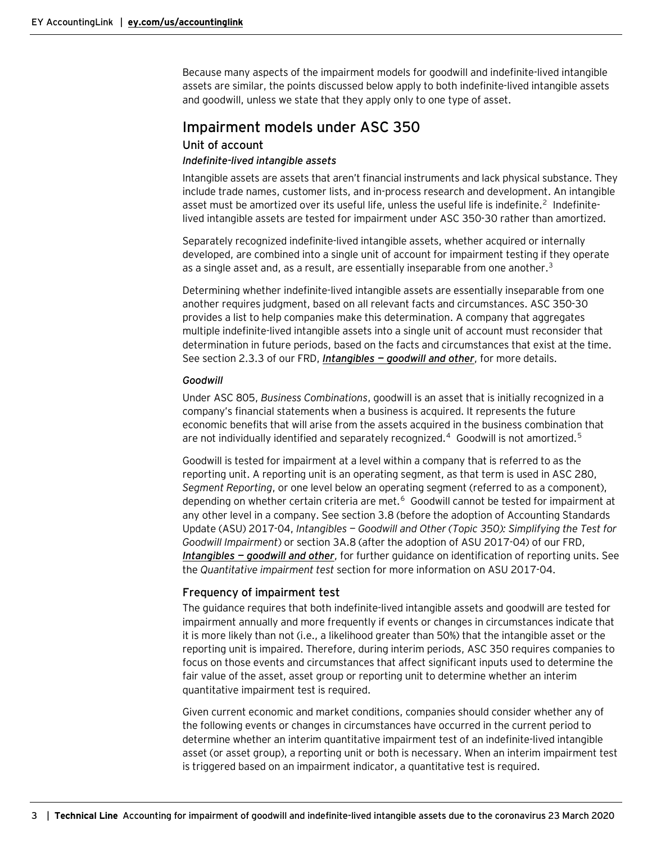Because many aspects of the impairment models for goodwill and indefinite-lived intangible assets are similar, the points discussed below apply to both indefinite-lived intangible assets and goodwill, unless we state that they apply only to one type of asset.

## <span id="page-2-0"></span>Impairment models under ASC 350

#### <span id="page-2-1"></span>Unit of account

#### *Indefinite-lived intangible assets*

Intangible assets are assets that aren't financial instruments and lack physical substance. They include trade names, customer lists, and in-process research and development. An intangible asset must be amortized over its useful life, unless the useful life is indefinite.<sup>[2](#page-9-0)</sup> Indefinitelived intangible assets are tested for impairment under ASC 350-30 rather than amortized.

Separately recognized indefinite-lived intangible assets, whether acquired or internally developed, are combined into a single unit of account for impairment testing if they operate as a single asset and, as a result, are essentially inseparable from one another.<sup>[3](#page-9-0)</sup>

Determining whether indefinite-lived intangible assets are essentially inseparable from one another requires judgment, based on all relevant facts and circumstances. ASC 350-30 provides a list to help companies make this determination. A company that aggregates multiple indefinite-lived intangible assets into a single unit of account must reconsider that determination in future periods, based on the facts and circumstances that exist at the time. See section 2.3.3 of our FRD, *Intangibles — [goodwill and other](https://www.ey.com/ul/en/accountinglink/frd-bb1499-intangibles)*, for more details.

#### *Goodwill*

Under ASC 805, *Business Combinations*, goodwill is an asset that is initially recognized in a company's financial statements when a business is acquired. It represents the future economic benefits that will arise from the assets acquired in the business combination that are not individually identified and separately recognized.<sup>[4](#page-9-0)</sup> Goodwill is not amortized.<sup>[5](#page-9-0)</sup>

Goodwill is tested for impairment at a level within a company that is referred to as the reporting unit. A reporting unit is an operating segment, as that term is used in ASC 280, *Segment Reporting*, or one level below an operating segment (referred to as a component), depending on whether certain criteria are met. [6](#page-9-0) Goodwill cannot be tested for impairment at any other level in a company. See section 3.8 (before the adoption of Accounting Standards Update (ASU) 2017-04, *Intangibles — Goodwill and Other (Topic 350): Simplifying the Test for Goodwill Impairment*) or section 3A.8 (after the adoption of ASU 2017-04) of our FRD, *Intangibles — [goodwill and other](https://www.ey.com/ul/en/accountinglink/frd-bb1499-intangibles)*, for further guidance on identification of reporting units. See the *Quantitative impairment test* section for more information on ASU 2017-04.

#### <span id="page-2-2"></span>Frequency of impairment test

The guidance requires that both indefinite-lived intangible assets and goodwill are tested for impairment annually and more frequently if events or changes in circumstances indicate that it is more likely than not (i.e., a likelihood greater than 50%) that the intangible asset or the reporting unit is impaired. Therefore, during interim periods, ASC 350 requires companies to focus on those events and circumstances that affect significant inputs used to determine the fair value of the asset, asset group or reporting unit to determine whether an interim quantitative impairment test is required.

Given current economic and market conditions, companies should consider whether any of the following events or changes in circumstances have occurred in the current period to determine whether an interim quantitative impairment test of an indefinite-lived intangible asset (or asset group), a reporting unit or both is necessary. When an interim impairment test is triggered based on an impairment indicator, a quantitative test is required.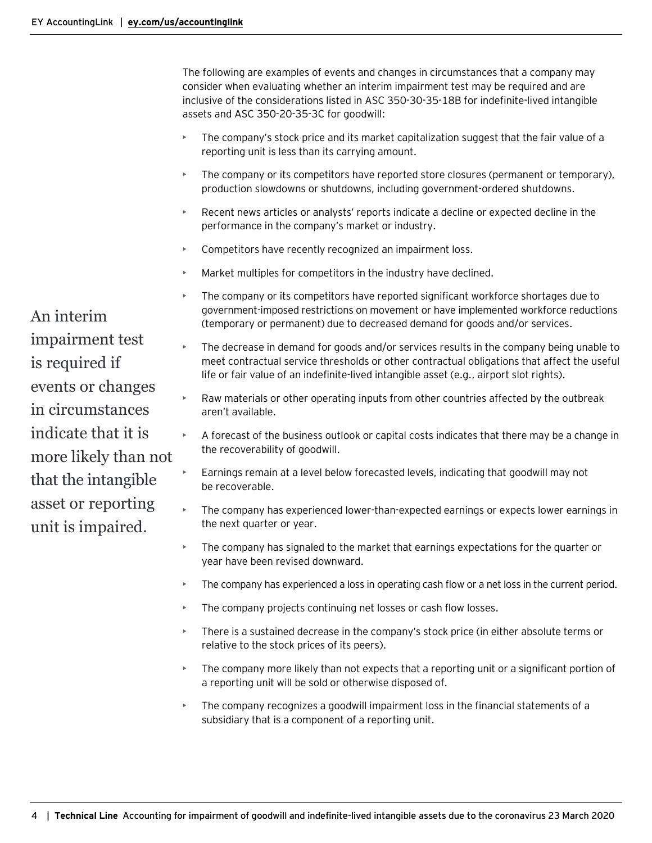The following are examples of events and changes in circumstances that a company may consider when evaluating whether an interim impairment test may be required and are inclusive of the considerations listed in ASC 350-30-35-18B for indefinite-lived intangible assets and ASC 350-20-35-3C for goodwill:

- The company's stock price and its market capitalization suggest that the fair value of a reporting unit is less than its carrying amount.
- The company or its competitors have reported store closures (permanent or temporary), production slowdowns or shutdowns, including government-ordered shutdowns.
- Recent news articles or analysts' reports indicate a decline or expected decline in the performance in the company's market or industry.
- Competitors have recently recognized an impairment loss.
- Market multiples for competitors in the industry have declined.
- The company or its competitors have reported significant workforce shortages due to government-imposed restrictions on movement or have implemented workforce reductions (temporary or permanent) due to decreased demand for goods and/or services.
- The decrease in demand for goods and/or services results in the company being unable to meet contractual service thresholds or other contractual obligations that affect the useful life or fair value of an indefinite-lived intangible asset (e.g., airport slot rights).
- Raw materials or other operating inputs from other countries affected by the outbreak aren't available.
- A forecast of the business outlook or capital costs indicates that there may be a change in the recoverability of goodwill.
- Earnings remain at a level below forecasted levels, indicating that goodwill may not be recoverable.
- The company has experienced lower-than-expected earnings or expects lower earnings in the next quarter or year.
- The company has signaled to the market that earnings expectations for the quarter or year have been revised downward.
- The company has experienced a loss in operating cash flow or a net loss in the current period.
- The company projects continuing net losses or cash flow losses.
- There is a sustained decrease in the company's stock price (in either absolute terms or relative to the stock prices of its peers).
- The company more likely than not expects that a reporting unit or a significant portion of a reporting unit will be sold or otherwise disposed of.
- The company recognizes a goodwill impairment loss in the financial statements of a subsidiary that is a component of a reporting unit.

An interim impairment test is required if events or changes in circumstances indicate that it is more likely than not that the intangible asset or reporting unit is impaired.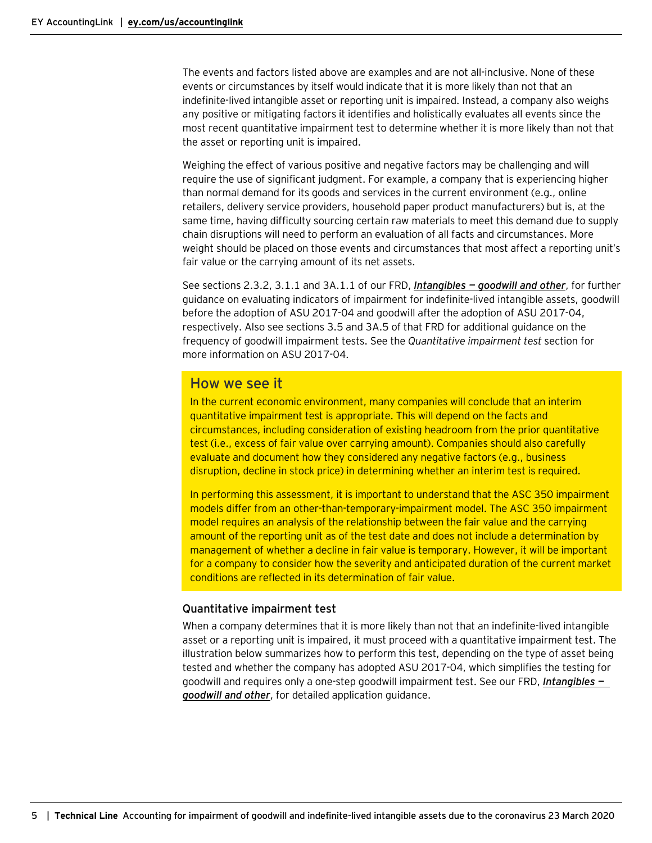The events and factors listed above are examples and are not all-inclusive. None of these events or circumstances by itself would indicate that it is more likely than not that an indefinite-lived intangible asset or reporting unit is impaired. Instead, a company also weighs any positive or mitigating factors it identifies and holistically evaluates all events since the most recent quantitative impairment test to determine whether it is more likely than not that the asset or reporting unit is impaired.

Weighing the effect of various positive and negative factors may be challenging and will require the use of significant judgment. For example, a company that is experiencing higher than normal demand for its goods and services in the current environment (e.g., online retailers, delivery service providers, household paper product manufacturers) but is, at the same time, having difficulty sourcing certain raw materials to meet this demand due to supply chain disruptions will need to perform an evaluation of all facts and circumstances. More weight should be placed on those events and circumstances that most affect a reporting unit's fair value or the carrying amount of its net assets.

See sections 2.3.2, 3.1.1 and 3A.1.1 of our FRD, *Intangibles — [goodwill and other](https://www.ey.com/ul/en/accountinglink/frd-bb1499-intangibles)*, for further guidance on evaluating indicators of impairment for indefinite-lived intangible assets, goodwill before the adoption of ASU 2017-04 and goodwill after the adoption of ASU 2017-04, respectively. Also see sections 3.5 and 3A.5 of that FRD for additional guidance on the frequency of goodwill impairment tests. See the *Quantitative impairment test* section for more information on ASU 2017-04.

## How we see it

In the current economic environment, many companies will conclude that an interim quantitative impairment test is appropriate. This will depend on the facts and circumstances, including consideration of existing headroom from the prior quantitative test (i.e., excess of fair value over carrying amount). Companies should also carefully evaluate and document how they considered any negative factors (e.g., business disruption, decline in stock price) in determining whether an interim test is required.

In performing this assessment, it is important to understand that the ASC 350 impairment models differ from an other-than-temporary-impairment model. The ASC 350 impairment model requires an analysis of the relationship between the fair value and the carrying amount of the reporting unit as of the test date and does not include a determination by management of whether a decline in fair value is temporary. However, it will be important for a company to consider how the severity and anticipated duration of the current market conditions are reflected in its determination of fair value.

#### <span id="page-4-0"></span>Quantitative impairment test

When a company determines that it is more likely than not that an indefinite-lived intangible asset or a reporting unit is impaired, it must proceed with a quantitative impairment test. The illustration below summarizes how to perform this test, depending on the type of asset being tested and whether the company has adopted ASU 2017-04, which simplifies the testing for goodwill and requires only a one-step goodwill impairment test. See our FRD, *[Intangibles](https://www.ey.com/ul/en/accountinglink/frd-bb1499-intangibles) [goodwill and other](https://www.ey.com/ul/en/accountinglink/frd-bb1499-intangibles)*, for detailed application guidance.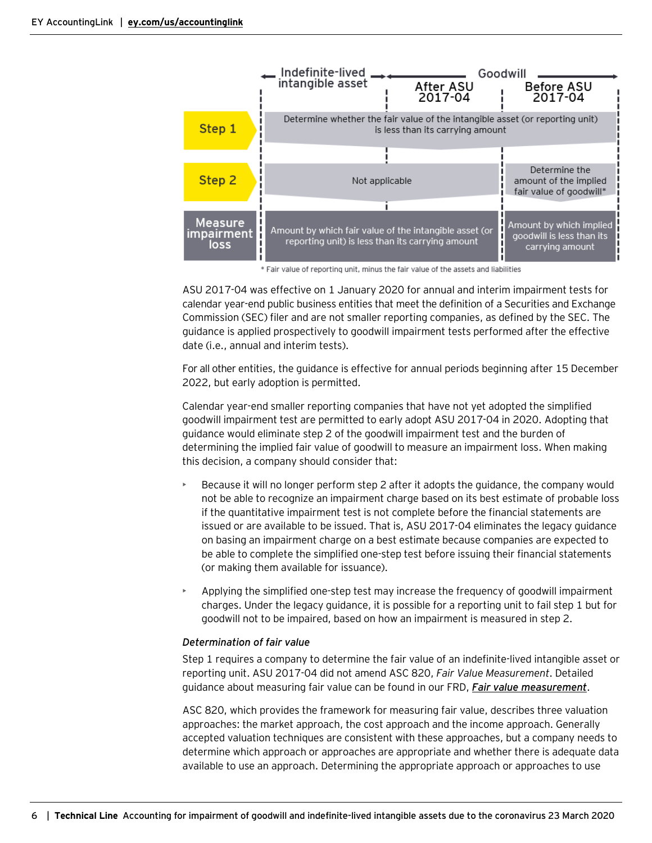

\* Fair value of reporting unit, minus the fair value of the assets and liabilities

ASU 2017-04 was effective on 1 January 2020 for annual and interim impairment tests for calendar year-end public business entities that meet the definition of a Securities and Exchange Commission (SEC) filer and are not smaller reporting companies, as defined by the SEC. The guidance is applied prospectively to goodwill impairment tests performed after the effective date (i.e., annual and interim tests).

For all other entities, the guidance is effective for annual periods beginning after 15 December 2022, but early adoption is permitted.

Calendar year-end smaller reporting companies that have not yet adopted the simplified goodwill impairment test are permitted to early adopt ASU 2017-04 in 2020. Adopting that guidance would eliminate step 2 of the goodwill impairment test and the burden of determining the implied fair value of goodwill to measure an impairment loss. When making this decision, a company should consider that:

- Because it will no longer perform step 2 after it adopts the guidance, the company would not be able to recognize an impairment charge based on its best estimate of probable loss if the quantitative impairment test is not complete before the financial statements are issued or are available to be issued. That is, ASU 2017-04 eliminates the legacy guidance on basing an impairment charge on a best estimate because companies are expected to be able to complete the simplified one-step test before issuing their financial statements (or making them available for issuance).
- Applying the simplified one-step test may increase the frequency of goodwill impairment charges. Under the legacy guidance, it is possible for a reporting unit to fail step 1 but for goodwill not to be impaired, based on how an impairment is measured in step 2.

#### *Determination of fair value*

Step 1 requires a company to determine the fair value of an indefinite-lived intangible asset or reporting unit. ASU 2017-04 did not amend ASC 820, *Fair Value Measurement*. Detailed guidance about measuring fair value can be found in our FRD, *[Fair value measurement](https://www.ey.com/en_us/assurance/accountinglink/financial-reporting-developments---fair-value-measurement)*.

ASC 820, which provides the framework for measuring fair value, describes three valuation approaches: the market approach, the cost approach and the income approach. Generally accepted valuation techniques are consistent with these approaches, but a company needs to determine which approach or approaches are appropriate and whether there is adequate data available to use an approach. Determining the appropriate approach or approaches to use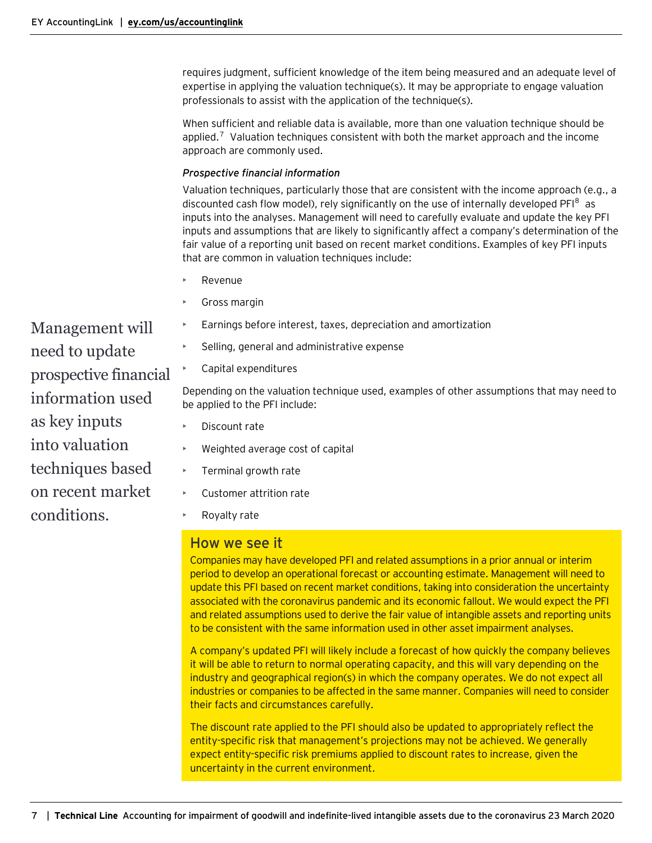requires judgment, sufficient knowledge of the item being measured and an adequate level of expertise in applying the valuation technique(s). It may be appropriate to engage valuation professionals to assist with the application of the technique(s).

When sufficient and reliable data is available, more than one valuation technique should be applied.<sup>[7](#page-9-0)</sup> Valuation techniques consistent with both the market approach and the income approach are commonly used.

#### *Prospective financial information*

Valuation techniques, particularly those that are consistent with the income approach (e.g., a discounted cash flow model), rely significantly on the use of internally developed PFI<sup>[8](#page-9-0)</sup> as inputs into the analyses. Management will need to carefully evaluate and update the key PFI inputs and assumptions that are likely to significantly affect a company's determination of the fair value of a reporting unit based on recent market conditions. Examples of key PFI inputs that are common in valuation techniques include:

- Revenue
- Gross margin
- Earnings before interest, taxes, depreciation and amortization
- Selling, general and administrative expense
- Capital expenditures

Depending on the valuation technique used, examples of other assumptions that may need to be applied to the PFI include:

- Discount rate
- Weighted average cost of capital
- Terminal growth rate
- Customer attrition rate
- Royalty rate

## How we see it

Companies may have developed PFI and related assumptions in a prior annual or interim period to develop an operational forecast or accounting estimate. Management will need to update this PFI based on recent market conditions, taking into consideration the uncertainty associated with the coronavirus pandemic and its economic fallout. We would expect the PFI and related assumptions used to derive the fair value of intangible assets and reporting units to be consistent with the same information used in other asset impairment analyses.

A company's updated PFI will likely include a forecast of how quickly the company believes it will be able to return to normal operating capacity, and this will vary depending on the industry and geographical region(s) in which the company operates. We do not expect all industries or companies to be affected in the same manner. Companies will need to consider their facts and circumstances carefully.

The discount rate applied to the PFI should also be updated to appropriately reflect the entity-specific risk that management's projections may not be achieved. We generally expect entity-specific risk premiums applied to discount rates to increase, given the uncertainty in the current environment.

Management will need to update prospective financial information used as key inputs into valuation techniques based on recent market conditions.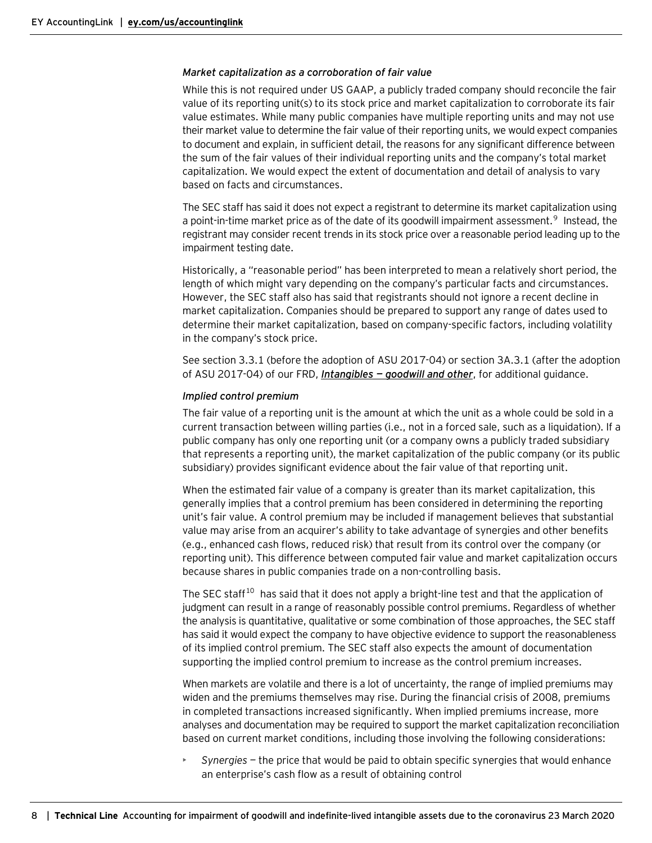#### *Market capitalization as a corroboration of fair value*

While this is not required under US GAAP, a publicly traded company should reconcile the fair value of its reporting unit(s) to its stock price and market capitalization to corroborate its fair value estimates. While many public companies have multiple reporting units and may not use their market value to determine the fair value of their reporting units, we would expect companies to document and explain, in sufficient detail, the reasons for any significant difference between the sum of the fair values of their individual reporting units and the company's total market capitalization. We would expect the extent of documentation and detail of analysis to vary based on facts and circumstances.

The SEC staff has said it does not expect a registrant to determine its market capitalization using a point-in-time market price as of the date of its goodwill impairment assessment.<sup>[9](#page-9-0)</sup> Instead, the registrant may consider recent trends in its stock price over a reasonable period leading up to the impairment testing date.

Historically, a "reasonable period" has been interpreted to mean a relatively short period, the length of which might vary depending on the company's particular facts and circumstances. However, the SEC staff also has said that registrants should not ignore a recent decline in market capitalization. Companies should be prepared to support any range of dates used to determine their market capitalization, based on company-specific factors, including volatility in the company's stock price.

See section 3.3.1 (before the adoption of ASU 2017-04) or section 3A.3.1 (after the adoption of ASU 2017-04) of our FRD, *Intangibles — [goodwill and other](https://www.ey.com/ul/en/accountinglink/frd-bb1499-intangibles)*, for additional guidance.

#### *Implied control premium*

The fair value of a reporting unit is the amount at which the unit as a whole could be sold in a current transaction between willing parties (i.e., not in a forced sale, such as a liquidation). If a public company has only one reporting unit (or a company owns a publicly traded subsidiary that represents a reporting unit), the market capitalization of the public company (or its public subsidiary) provides significant evidence about the fair value of that reporting unit.

When the estimated fair value of a company is greater than its market capitalization, this generally implies that a control premium has been considered in determining the reporting unit's fair value. A control premium may be included if management believes that substantial value may arise from an acquirer's ability to take advantage of synergies and other benefits (e.g., enhanced cash flows, reduced risk) that result from its control over the company (or reporting unit). This difference between computed fair value and market capitalization occurs because shares in public companies trade on a non-controlling basis.

The SEC staff $^{10}$  $^{10}$  $^{10}$  has said that it does not apply a bright-line test and that the application of judgment can result in a range of reasonably possible control premiums. Regardless of whether the analysis is quantitative, qualitative or some combination of those approaches, the SEC staff has said it would expect the company to have objective evidence to support the reasonableness of its implied control premium. The SEC staff also expects the amount of documentation supporting the implied control premium to increase as the control premium increases.

When markets are volatile and there is a lot of uncertainty, the range of implied premiums may widen and the premiums themselves may rise. During the financial crisis of 2008, premiums in completed transactions increased significantly. When implied premiums increase, more analyses and documentation may be required to support the market capitalization reconciliation based on current market conditions, including those involving the following considerations:

• *Synergies —* the price that would be paid to obtain specific synergies that would enhance an enterprise's cash flow as a result of obtaining control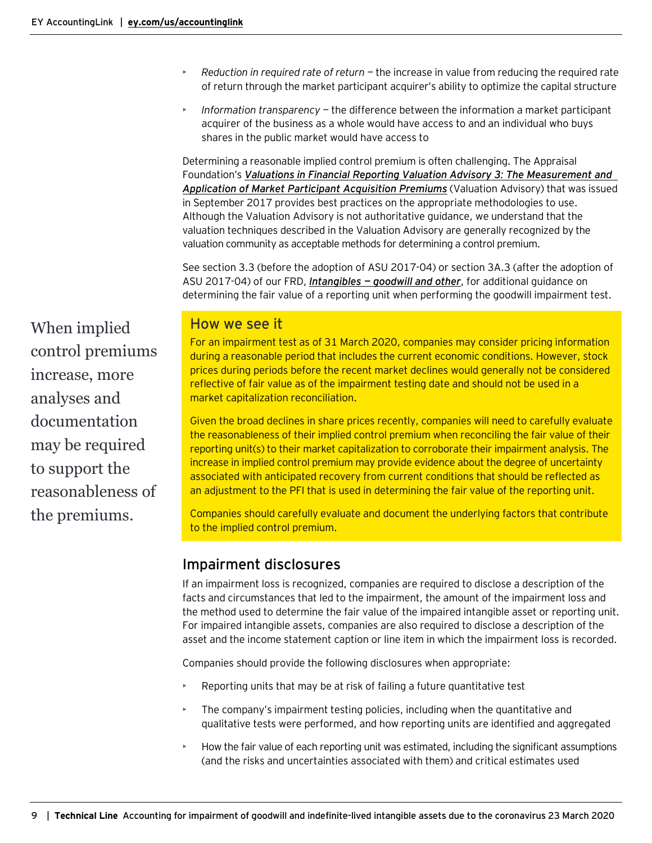- *Reduction in required rate of return —* the increase in value from reducing the required rate of return through the market participant acquirer's ability to optimize the capital structure
- *Information transparency —* the difference between the information a market participant acquirer of the business as a whole would have access to and an individual who buys shares in the public market would have access to

Determining a reasonable implied control premium is often challenging. The Appraisal Foundation's *[Valuations in Financial Reporting Valuation Advisory 3](https://appraisalfoundation.sharefile.com/share/view/sa5378ae8f7541ba9): The Measurement and [Application of Market Participant Acquisition Premiums](https://appraisalfoundation.sharefile.com/share/view/sa5378ae8f7541ba9)* (Valuation Advisory) that was issued in September 2017 provides best practices on the appropriate methodologies to use. Although the Valuation Advisory is not authoritative guidance, we understand that the valuation techniques described in the Valuation Advisory are generally recognized by the valuation community as acceptable methods for determining a control premium.

See section 3.3 (before the adoption of ASU 2017-04) or section 3A.3 (after the adoption of ASU 2017-04) of our FRD, *Intangibles — [goodwill and other](https://www.ey.com/ul/en/accountinglink/frd-bb1499-intangibles)*, for additional guidance on determining the fair value of a reporting unit when performing the goodwill impairment test.

When implied control premiums increase, more analyses and documentation may be required to support the reasonableness of the premiums.

# How we see it

For an impairment test as of 31 March 2020, companies may consider pricing information during a reasonable period that includes the current economic conditions. However, stock prices during periods before the recent market declines would generally not be considered reflective of fair value as of the impairment testing date and should not be used in a market capitalization reconciliation.

Given the broad declines in share prices recently, companies will need to carefully evaluate the reasonableness of their implied control premium when reconciling the fair value of their reporting unit(s) to their market capitalization to corroborate their impairment analysis. The increase in implied control premium may provide evidence about the degree of uncertainty associated with anticipated recovery from current conditions that should be reflected as an adjustment to the PFI that is used in determining the fair value of the reporting unit.

Companies should carefully evaluate and document the underlying factors that contribute to the implied control premium.

## <span id="page-8-0"></span>Impairment disclosures

If an impairment loss is recognized, companies are required to disclose a description of the facts and circumstances that led to the impairment, the amount of the impairment loss and the method used to determine the fair value of the impaired intangible asset or reporting unit. For impaired intangible assets, companies are also required to disclose a description of the asset and the income statement caption or line item in which the impairment loss is recorded.

Companies should provide the following disclosures when appropriate:

- Reporting units that may be at risk of failing a future quantitative test
- The company's impairment testing policies, including when the quantitative and qualitative tests were performed, and how reporting units are identified and aggregated
- How the fair value of each reporting unit was estimated, including the significant assumptions (and the risks and uncertainties associated with them) and critical estimates used